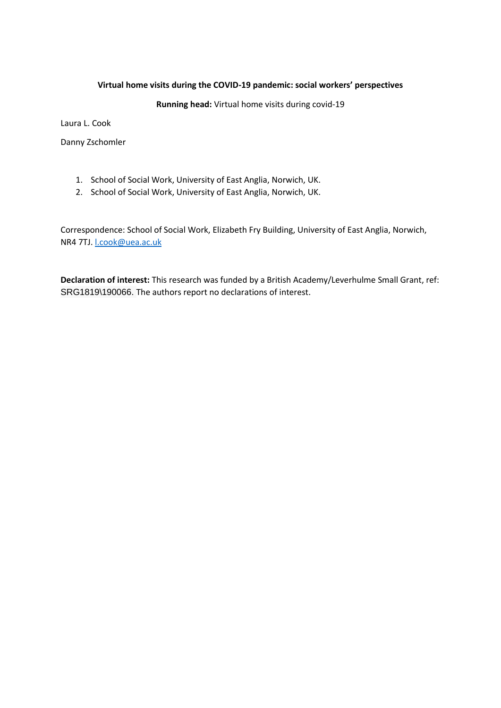# **Virtual home visits during the COVID-19 pandemic: social workers' perspectives**

**Running head:** Virtual home visits during covid-19

Laura L. Cook

Danny Zschomler

- 1. School of Social Work, University of East Anglia, Norwich, UK.
- 2. School of Social Work, University of East Anglia, Norwich, UK.

Correspondence: School of Social Work, Elizabeth Fry Building, University of East Anglia, Norwich, NR4 7TJ. [l.cook@uea.ac.uk](mailto:l.cook@uea.ac.uk)

**Declaration of interest:** This research was funded by a British Academy/Leverhulme Small Grant, ref: SRG1819\190066. The authors report no declarations of interest.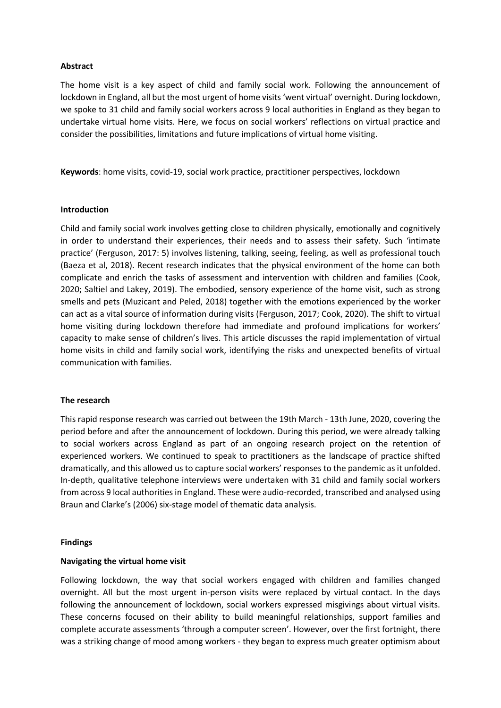### **Abstract**

The home visit is a key aspect of child and family social work. Following the announcement of lockdown in England, all but the most urgent of home visits 'went virtual' overnight. During lockdown, we spoke to 31 child and family social workers across 9 local authorities in England as they began to undertake virtual home visits. Here, we focus on social workers' reflections on virtual practice and consider the possibilities, limitations and future implications of virtual home visiting.

**Keywords**: home visits, covid-19, social work practice, practitioner perspectives, lockdown

### **Introduction**

Child and family social work involves getting close to children physically, emotionally and cognitively in order to understand their experiences, their needs and to assess their safety. Such 'intimate practice' (Ferguson, 2017: 5) involves listening, talking, seeing, feeling, as well as professional touch (Baeza et al, 2018). Recent research indicates that the physical environment of the home can both complicate and enrich the tasks of assessment and intervention with children and families (Cook, 2020; Saltiel and Lakey, 2019). The embodied, sensory experience of the home visit, such as strong smells and pets (Muzicant and Peled, 2018) together with the emotions experienced by the worker can act as a vital source of information during visits (Ferguson, 2017; Cook, 2020). The shift to virtual home visiting during lockdown therefore had immediate and profound implications for workers' capacity to make sense of children's lives. This article discusses the rapid implementation of virtual home visits in child and family social work, identifying the risks and unexpected benefits of virtual communication with families.

#### **The research**

This rapid response research was carried out between the 19th March - 13th June, 2020, covering the period before and after the announcement of lockdown. During this period, we were already talking to social workers across England as part of an ongoing research project on the retention of experienced workers. We continued to speak to practitioners as the landscape of practice shifted dramatically, and this allowed us to capture social workers' responses to the pandemic as it unfolded. In-depth, qualitative telephone interviews were undertaken with 31 child and family social workers from across 9 local authorities in England. These were audio-recorded, transcribed and analysed using Braun and Clarke's (2006) six-stage model of thematic data analysis.

#### **Findings**

#### **Navigating the virtual home visit**

Following lockdown, the way that social workers engaged with children and families changed overnight. All but the most urgent in-person visits were replaced by virtual contact. In the days following the announcement of lockdown, social workers expressed misgivings about virtual visits. These concerns focused on their ability to build meaningful relationships, support families and complete accurate assessments 'through a computer screen'. However, over the first fortnight, there was a striking change of mood among workers - they began to express much greater optimism about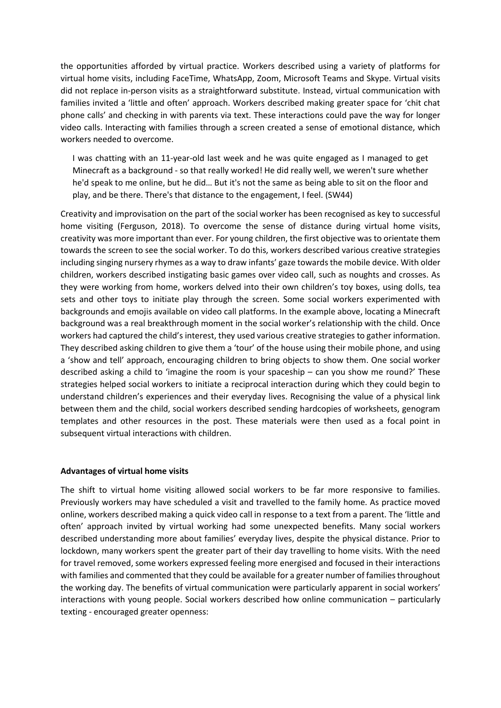the opportunities afforded by virtual practice. Workers described using a variety of platforms for virtual home visits, including FaceTime, WhatsApp, Zoom, Microsoft Teams and Skype. Virtual visits did not replace in-person visits as a straightforward substitute. Instead, virtual communication with families invited a 'little and often' approach. Workers described making greater space for 'chit chat phone calls' and checking in with parents via text. These interactions could pave the way for longer video calls. Interacting with families through a screen created a sense of emotional distance, which workers needed to overcome.

I was chatting with an 11-year-old last week and he was quite engaged as I managed to get Minecraft as a background - so that really worked! He did really well, we weren't sure whether he'd speak to me online, but he did… But it's not the same as being able to sit on the floor and play, and be there. There's that distance to the engagement, I feel. (SW44)

Creativity and improvisation on the part of the social worker has been recognised as key to successful home visiting (Ferguson, 2018). To overcome the sense of distance during virtual home visits, creativity was more important than ever. For young children, the first objective was to orientate them towards the screen to see the social worker. To do this, workers described various creative strategies including singing nursery rhymes as a way to draw infants' gaze towards the mobile device. With older children, workers described instigating basic games over video call, such as noughts and crosses. As they were working from home, workers delved into their own children's toy boxes, using dolls, tea sets and other toys to initiate play through the screen. Some social workers experimented with backgrounds and emojis available on video call platforms. In the example above, locating a Minecraft background was a real breakthrough moment in the social worker's relationship with the child. Once workers had captured the child's interest, they used various creative strategies to gather information. They described asking children to give them a 'tour' of the house using their mobile phone, and using a 'show and tell' approach, encouraging children to bring objects to show them. One social worker described asking a child to 'imagine the room is your spaceship – can you show me round?' These strategies helped social workers to initiate a reciprocal interaction during which they could begin to understand children's experiences and their everyday lives. Recognising the value of a physical link between them and the child, social workers described sending hardcopies of worksheets, genogram templates and other resources in the post. These materials were then used as a focal point in subsequent virtual interactions with children.

## **Advantages of virtual home visits**

The shift to virtual home visiting allowed social workers to be far more responsive to families. Previously workers may have scheduled a visit and travelled to the family home. As practice moved online, workers described making a quick video call in response to a text from a parent. The 'little and often' approach invited by virtual working had some unexpected benefits. Many social workers described understanding more about families' everyday lives, despite the physical distance. Prior to lockdown, many workers spent the greater part of their day travelling to home visits. With the need for travel removed, some workers expressed feeling more energised and focused in their interactions with families and commented that they could be available for a greater number of families throughout the working day. The benefits of virtual communication were particularly apparent in social workers' interactions with young people. Social workers described how online communication – particularly texting - encouraged greater openness: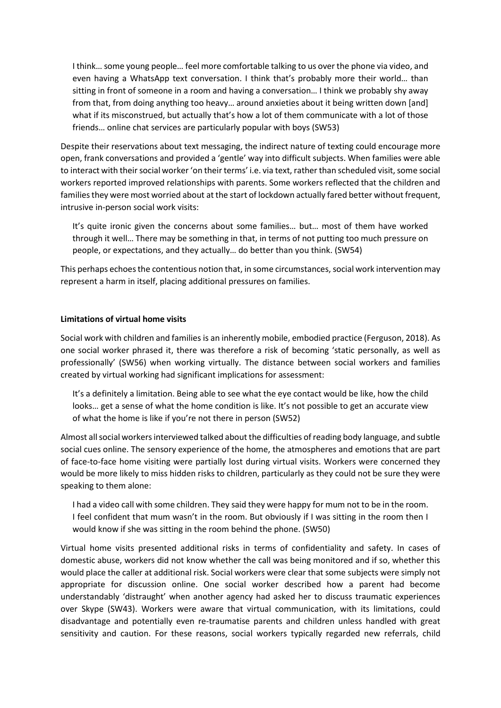I think… some young people… feel more comfortable talking to us over the phone via video, and even having a WhatsApp text conversation. I think that's probably more their world… than sitting in front of someone in a room and having a conversation… I think we probably shy away from that, from doing anything too heavy… around anxieties about it being written down [and] what if its misconstrued, but actually that's how a lot of them communicate with a lot of those friends… online chat services are particularly popular with boys (SW53)

Despite their reservations about text messaging, the indirect nature of texting could encourage more open, frank conversations and provided a 'gentle' way into difficult subjects. When families were able to interact with their social worker 'on their terms' i.e. via text, rather than scheduled visit, some social workers reported improved relationships with parents. Some workers reflected that the children and families they were most worried about at the start of lockdown actually fared better without frequent, intrusive in-person social work visits:

It's quite ironic given the concerns about some families… but… most of them have worked through it well… There may be something in that, in terms of not putting too much pressure on people, or expectations, and they actually… do better than you think. (SW54)

This perhaps echoes the contentious notion that, in some circumstances, social work intervention may represent a harm in itself, placing additional pressures on families.

## **Limitations of virtual home visits**

Social work with children and families is an inherently mobile, embodied practice (Ferguson, 2018). As one social worker phrased it, there was therefore a risk of becoming 'static personally, as well as professionally' (SW56) when working virtually. The distance between social workers and families created by virtual working had significant implications for assessment:

It's a definitely a limitation. Being able to see what the eye contact would be like, how the child looks... get a sense of what the home condition is like. It's not possible to get an accurate view of what the home is like if you're not there in person (SW52)

Almost all social workers interviewed talked about the difficulties of reading body language, and subtle social cues online. The sensory experience of the home, the atmospheres and emotions that are part of face-to-face home visiting were partially lost during virtual visits. Workers were concerned they would be more likely to miss hidden risks to children, particularly as they could not be sure they were speaking to them alone:

I had a video call with some children. They said they were happy for mum not to be in the room. I feel confident that mum wasn't in the room. But obviously if I was sitting in the room then I would know if she was sitting in the room behind the phone. (SW50)

Virtual home visits presented additional risks in terms of confidentiality and safety. In cases of domestic abuse, workers did not know whether the call was being monitored and if so, whether this would place the caller at additional risk. Social workers were clear that some subjects were simply not appropriate for discussion online. One social worker described how a parent had become understandably 'distraught' when another agency had asked her to discuss traumatic experiences over Skype (SW43). Workers were aware that virtual communication, with its limitations, could disadvantage and potentially even re-traumatise parents and children unless handled with great sensitivity and caution. For these reasons, social workers typically regarded new referrals, child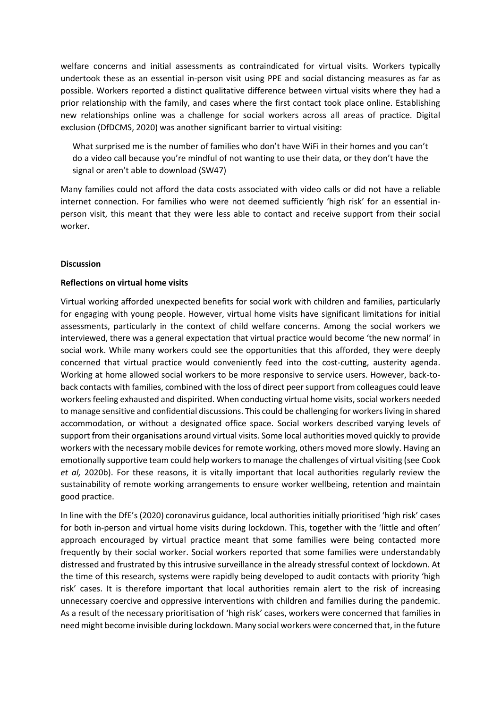welfare concerns and initial assessments as contraindicated for virtual visits. Workers typically undertook these as an essential in-person visit using PPE and social distancing measures as far as possible. Workers reported a distinct qualitative difference between virtual visits where they had a prior relationship with the family, and cases where the first contact took place online. Establishing new relationships online was a challenge for social workers across all areas of practice. Digital exclusion (DfDCMS, 2020) was another significant barrier to virtual visiting:

What surprised me is the number of families who don't have WiFi in their homes and you can't do a video call because you're mindful of not wanting to use their data, or they don't have the signal or aren't able to download (SW47)

Many families could not afford the data costs associated with video calls or did not have a reliable internet connection. For families who were not deemed sufficiently 'high risk' for an essential inperson visit, this meant that they were less able to contact and receive support from their social worker.

### **Discussion**

## **Reflections on virtual home visits**

Virtual working afforded unexpected benefits for social work with children and families, particularly for engaging with young people. However, virtual home visits have significant limitations for initial assessments, particularly in the context of child welfare concerns. Among the social workers we interviewed, there was a general expectation that virtual practice would become 'the new normal' in social work. While many workers could see the opportunities that this afforded, they were deeply concerned that virtual practice would conveniently feed into the cost-cutting, austerity agenda. Working at home allowed social workers to be more responsive to service users. However, back-toback contacts with families, combined with the loss of direct peer support from colleagues could leave workers feeling exhausted and dispirited. When conducting virtual home visits, social workers needed to manage sensitive and confidential discussions. This could be challenging for workers living in shared accommodation, or without a designated office space. Social workers described varying levels of support from their organisations around virtual visits. Some local authorities moved quickly to provide workers with the necessary mobile devices for remote working, others moved more slowly. Having an emotionally supportive team could help workers to manage the challenges of virtual visiting (see Cook *et al,* 2020b). For these reasons, it is vitally important that local authorities regularly review the sustainability of remote working arrangements to ensure worker wellbeing, retention and maintain good practice.

In line with the DfE's (2020) coronavirus guidance, local authorities initially prioritised 'high risk' cases for both in-person and virtual home visits during lockdown. This, together with the 'little and often' approach encouraged by virtual practice meant that some families were being contacted more frequently by their social worker. Social workers reported that some families were understandably distressed and frustrated by this intrusive surveillance in the already stressful context of lockdown. At the time of this research, systems were rapidly being developed to audit contacts with priority 'high risk' cases. It is therefore important that local authorities remain alert to the risk of increasing unnecessary coercive and oppressive interventions with children and families during the pandemic. As a result of the necessary prioritisation of 'high risk' cases, workers were concerned that families in need might become invisible during lockdown. Many social workers were concerned that, in the future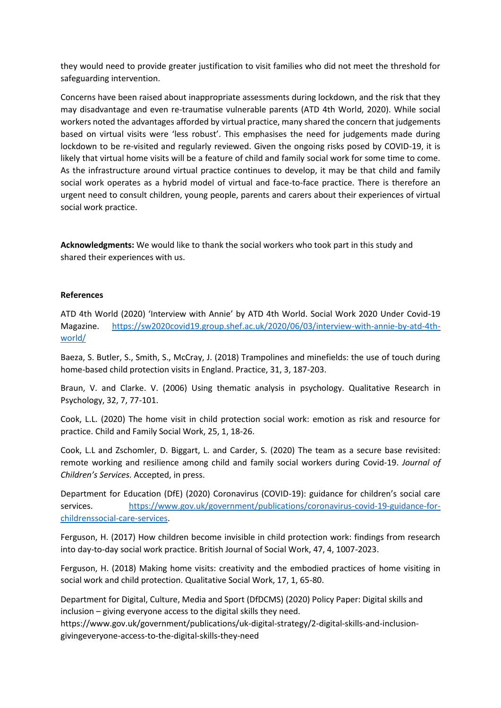they would need to provide greater justification to visit families who did not meet the threshold for safeguarding intervention.

Concerns have been raised about inappropriate assessments during lockdown, and the risk that they may disadvantage and even re-traumatise vulnerable parents (ATD 4th World, 2020). While social workers noted the advantages afforded by virtual practice, many shared the concern that judgements based on virtual visits were 'less robust'. This emphasises the need for judgements made during lockdown to be re-visited and regularly reviewed. Given the ongoing risks posed by COVID-19, it is likely that virtual home visits will be a feature of child and family social work for some time to come. As the infrastructure around virtual practice continues to develop, it may be that child and family social work operates as a hybrid model of virtual and face-to-face practice. There is therefore an urgent need to consult children, young people, parents and carers about their experiences of virtual social work practice.

**Acknowledgments:** We would like to thank the social workers who took part in this study and shared their experiences with us.

## **References**

ATD 4th World (2020) 'Interview with Annie' by ATD 4th World. Social Work 2020 Under Covid-19 Magazine. [https://sw2020covid19.group.shef.ac.uk/2020/06/03/interview-with-annie-by-atd-4th](https://sw2020covid19.group.shef.ac.uk/2020/06/03/interview-with-annie-by-atd-4th-world/)[world/](https://sw2020covid19.group.shef.ac.uk/2020/06/03/interview-with-annie-by-atd-4th-world/)

Baeza, S. Butler, S., Smith, S., McCray, J. (2018) Trampolines and minefields: the use of touch during home-based child protection visits in England. Practice, 31, 3, 187-203.

Braun, V. and Clarke. V. (2006) Using thematic analysis in psychology. Qualitative Research in Psychology, 32, 7, 77-101.

Cook, L.L. (2020) The home visit in child protection social work: emotion as risk and resource for practice. Child and Family Social Work, 25, 1, 18-26.

Cook, L.L and Zschomler, D. Biggart, L. and Carder, S. (2020) The team as a secure base revisited: remote working and resilience among child and family social workers during Covid-19. *Journal of Children's Services.* Accepted, in press.

Department for Education (DfE) (2020) Coronavirus (COVID-19): guidance for children's social care services. [https://www.gov.uk/government/publications/coronavirus-covid-19-guidance-for](https://www.gov.uk/government/publications/coronavirus-covid-19-guidance-for-childrenssocial-care-services)[childrenssocial-care-services.](https://www.gov.uk/government/publications/coronavirus-covid-19-guidance-for-childrenssocial-care-services)

Ferguson, H. (2017) How children become invisible in child protection work: findings from research into day-to-day social work practice. British Journal of Social Work, 47, 4, 1007-2023.

Ferguson, H. (2018) Making home visits: creativity and the embodied practices of home visiting in social work and child protection. Qualitative Social Work, 17, 1, 65-80.

Department for Digital, Culture, Media and Sport (DfDCMS) (2020) Policy Paper: Digital skills and inclusion – giving everyone access to the digital skills they need.

https://www.gov.uk/government/publications/uk-digital-strategy/2-digital-skills-and-inclusiongivingeveryone-access-to-the-digital-skills-they-need